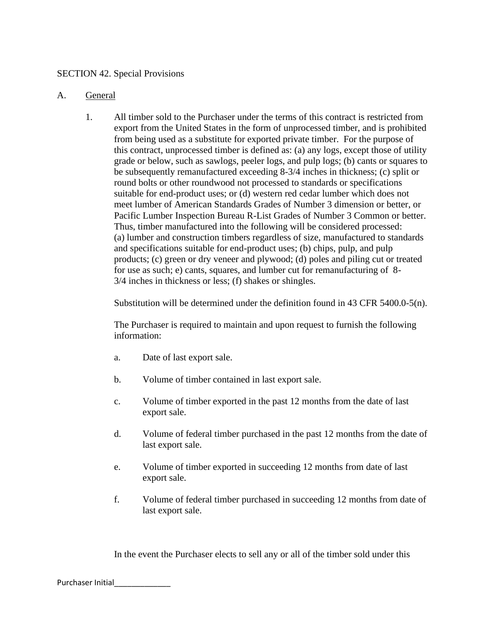### SECTION 42. Special Provisions

### A. General

1. All timber sold to the Purchaser under the terms of this contract is restricted from export from the United States in the form of unprocessed timber, and is prohibited from being used as a substitute for exported private timber. For the purpose of this contract, unprocessed timber is defined as: (a) any logs, except those of utility grade or below, such as sawlogs, peeler logs, and pulp logs; (b) cants or squares to be subsequently remanufactured exceeding 8-3/4 inches in thickness; (c) split or round bolts or other roundwood not processed to standards or specifications suitable for end-product uses; or (d) western red cedar lumber which does not meet lumber of American Standards Grades of Number 3 dimension or better, or Pacific Lumber Inspection Bureau R-List Grades of Number 3 Common or better. Thus, timber manufactured into the following will be considered processed: (a) lumber and construction timbers regardless of size, manufactured to standards and specifications suitable for end-product uses; (b) chips, pulp, and pulp products; (c) green or dry veneer and plywood; (d) poles and piling cut or treated for use as such; e) cants, squares, and lumber cut for remanufacturing of 8- 3/4 inches in thickness or less; (f) shakes or shingles.

Substitution will be determined under the definition found in 43 CFR 5400.0-5(n).

The Purchaser is required to maintain and upon request to furnish the following information:

- a. Date of last export sale.
- b. Volume of timber contained in last export sale.
- c. Volume of timber exported in the past 12 months from the date of last export sale.
- d. Volume of federal timber purchased in the past 12 months from the date of last export sale.
- e. Volume of timber exported in succeeding 12 months from date of last export sale.
- f. Volume of federal timber purchased in succeeding 12 months from date of last export sale.

In the event the Purchaser elects to sell any or all of the timber sold under this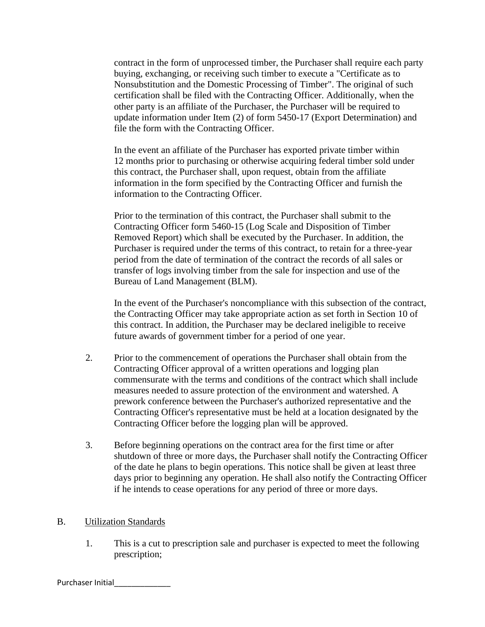contract in the form of unprocessed timber, the Purchaser shall require each party buying, exchanging, or receiving such timber to execute a "Certificate as to Nonsubstitution and the Domestic Processing of Timber". The original of such certification shall be filed with the Contracting Officer. Additionally, when the other party is an affiliate of the Purchaser, the Purchaser will be required to update information under Item (2) of form 5450-17 (Export Determination) and file the form with the Contracting Officer.

In the event an affiliate of the Purchaser has exported private timber within 12 months prior to purchasing or otherwise acquiring federal timber sold under this contract, the Purchaser shall, upon request, obtain from the affiliate information in the form specified by the Contracting Officer and furnish the information to the Contracting Officer.

Prior to the termination of this contract, the Purchaser shall submit to the Contracting Officer form 5460-15 (Log Scale and Disposition of Timber Removed Report) which shall be executed by the Purchaser. In addition, the Purchaser is required under the terms of this contract, to retain for a three-year period from the date of termination of the contract the records of all sales or transfer of logs involving timber from the sale for inspection and use of the Bureau of Land Management (BLM).

In the event of the Purchaser's noncompliance with this subsection of the contract, the Contracting Officer may take appropriate action as set forth in Section 10 of this contract. In addition, the Purchaser may be declared ineligible to receive future awards of government timber for a period of one year.

- 2. Prior to the commencement of operations the Purchaser shall obtain from the Contracting Officer approval of a written operations and logging plan commensurate with the terms and conditions of the contract which shall include measures needed to assure protection of the environment and watershed. A prework conference between the Purchaser's authorized representative and the Contracting Officer's representative must be held at a location designated by the Contracting Officer before the logging plan will be approved.
- 3. Before beginning operations on the contract area for the first time or after shutdown of three or more days, the Purchaser shall notify the Contracting Officer of the date he plans to begin operations. This notice shall be given at least three days prior to beginning any operation. He shall also notify the Contracting Officer if he intends to cease operations for any period of three or more days.

## B. Utilization Standards

1. This is a cut to prescription sale and purchaser is expected to meet the following prescription;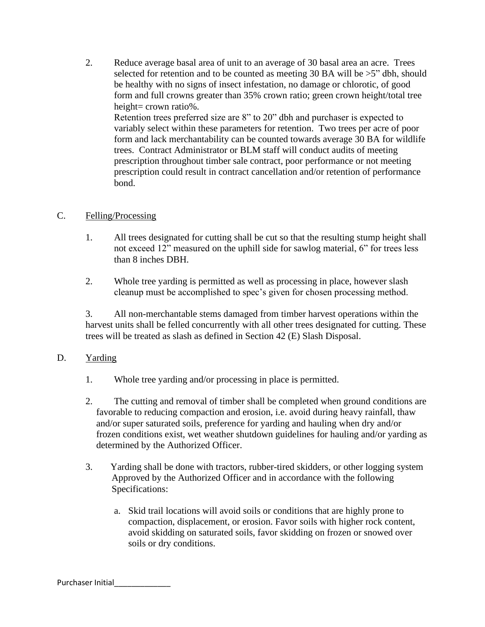2. Reduce average basal area of unit to an average of 30 basal area an acre. Trees selected for retention and to be counted as meeting 30 BA will be  $>5$ " dbh, should be healthy with no signs of insect infestation, no damage or chlorotic, of good form and full crowns greater than 35% crown ratio; green crown height/total tree height= crown ratio%. Retention trees preferred size are 8" to 20" dbh and purchaser is expected to variably select within these parameters for retention. Two trees per acre of poor form and lack merchantability can be counted towards average 30 BA for wildlife

trees. Contract Administrator or BLM staff will conduct audits of meeting prescription throughout timber sale contract, poor performance or not meeting prescription could result in contract cancellation and/or retention of performance bond.

### C. Felling/Processing

- 1. All trees designated for cutting shall be cut so that the resulting stump height shall not exceed 12" measured on the uphill side for sawlog material, 6" for trees less than 8 inches DBH.
- 2. Whole tree yarding is permitted as well as processing in place, however slash cleanup must be accomplished to spec's given for chosen processing method.

3. All non-merchantable stems damaged from timber harvest operations within the harvest units shall be felled concurrently with all other trees designated for cutting. These trees will be treated as slash as defined in Section 42 (E) Slash Disposal.

## D. Yarding

- 1. Whole tree yarding and/or processing in place is permitted.
- 2. The cutting and removal of timber shall be completed when ground conditions are favorable to reducing compaction and erosion, i.e. avoid during heavy rainfall, thaw and/or super saturated soils, preference for yarding and hauling when dry and/or frozen conditions exist, wet weather shutdown guidelines for hauling and/or yarding as determined by the Authorized Officer.
- 3. Yarding shall be done with tractors, rubber-tired skidders, or other logging system Approved by the Authorized Officer and in accordance with the following Specifications:
	- a. Skid trail locations will avoid soils or conditions that are highly prone to compaction, displacement, or erosion. Favor soils with higher rock content, avoid skidding on saturated soils, favor skidding on frozen or snowed over soils or dry conditions.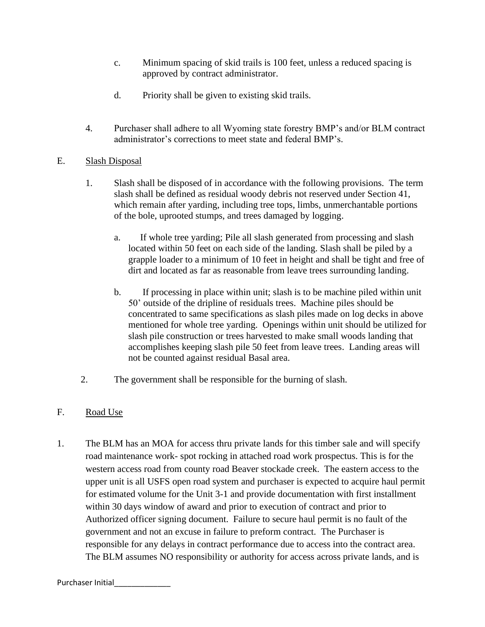- c. Minimum spacing of skid trails is 100 feet, unless a reduced spacing is approved by contract administrator.
- d. Priority shall be given to existing skid trails.
- 4. Purchaser shall adhere to all Wyoming state forestry BMP's and/or BLM contract administrator's corrections to meet state and federal BMP's.

# E. Slash Disposal

- 1. Slash shall be disposed of in accordance with the following provisions. The term slash shall be defined as residual woody debris not reserved under Section 41, which remain after yarding, including tree tops, limbs, unmerchantable portions of the bole, uprooted stumps, and trees damaged by logging.
	- a. If whole tree yarding; Pile all slash generated from processing and slash located within 50 feet on each side of the landing. Slash shall be piled by a grapple loader to a minimum of 10 feet in height and shall be tight and free of dirt and located as far as reasonable from leave trees surrounding landing.
	- b. If processing in place within unit; slash is to be machine piled within unit 50' outside of the dripline of residuals trees. Machine piles should be concentrated to same specifications as slash piles made on log decks in above mentioned for whole tree yarding. Openings within unit should be utilized for slash pile construction or trees harvested to make small woods landing that accomplishes keeping slash pile 50 feet from leave trees. Landing areas will not be counted against residual Basal area.
- 2. The government shall be responsible for the burning of slash.

## F. Road Use

1. The BLM has an MOA for access thru private lands for this timber sale and will specify road maintenance work- spot rocking in attached road work prospectus. This is for the western access road from county road Beaver stockade creek. The eastern access to the upper unit is all USFS open road system and purchaser is expected to acquire haul permit for estimated volume for the Unit 3-1 and provide documentation with first installment within 30 days window of award and prior to execution of contract and prior to Authorized officer signing document. Failure to secure haul permit is no fault of the government and not an excuse in failure to preform contract. The Purchaser is responsible for any delays in contract performance due to access into the contract area. The BLM assumes NO responsibility or authority for access across private lands, and is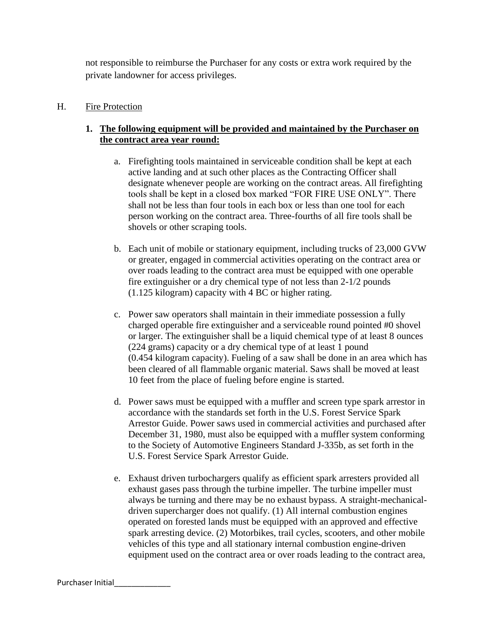not responsible to reimburse the Purchaser for any costs or extra work required by the private landowner for access privileges.

# H. Fire Protection

# **1. The following equipment will be provided and maintained by the Purchaser on the contract area year round:**

- a. Firefighting tools maintained in serviceable condition shall be kept at each active landing and at such other places as the Contracting Officer shall designate whenever people are working on the contract areas. All firefighting tools shall be kept in a closed box marked "FOR FIRE USE ONLY". There shall not be less than four tools in each box or less than one tool for each person working on the contract area. Three-fourths of all fire tools shall be shovels or other scraping tools.
- b. Each unit of mobile or stationary equipment, including trucks of 23,000 GVW or greater, engaged in commercial activities operating on the contract area or over roads leading to the contract area must be equipped with one operable fire extinguisher or a dry chemical type of not less than 2-1/2 pounds (1.125 kilogram) capacity with 4 BC or higher rating.
- c. Power saw operators shall maintain in their immediate possession a fully charged operable fire extinguisher and a serviceable round pointed #0 shovel or larger. The extinguisher shall be a liquid chemical type of at least 8 ounces (224 grams) capacity or a dry chemical type of at least 1 pound (0.454 kilogram capacity). Fueling of a saw shall be done in an area which has been cleared of all flammable organic material. Saws shall be moved at least 10 feet from the place of fueling before engine is started.
- d. Power saws must be equipped with a muffler and screen type spark arrestor in accordance with the standards set forth in the U.S. Forest Service Spark Arrestor Guide. Power saws used in commercial activities and purchased after December 31, 1980, must also be equipped with a muffler system conforming to the Society of Automotive Engineers Standard J-335b, as set forth in the U.S. Forest Service Spark Arrestor Guide.
- e. Exhaust driven turbochargers qualify as efficient spark arresters provided all exhaust gases pass through the turbine impeller. The turbine impeller must always be turning and there may be no exhaust bypass. A straight-mechanicaldriven supercharger does not qualify. (1) All internal combustion engines operated on forested lands must be equipped with an approved and effective spark arresting device. (2) Motorbikes, trail cycles, scooters, and other mobile vehicles of this type and all stationary internal combustion engine-driven equipment used on the contract area or over roads leading to the contract area,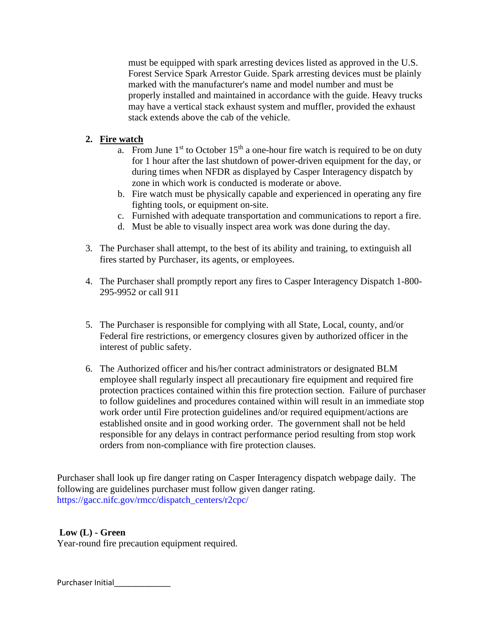must be equipped with spark arresting devices listed as approved in the U.S. Forest Service Spark Arrestor Guide. Spark arresting devices must be plainly marked with the manufacturer's name and model number and must be properly installed and maintained in accordance with the guide. Heavy trucks may have a vertical stack exhaust system and muffler, provided the exhaust stack extends above the cab of the vehicle.

# **2. Fire watch**

- a. From June  $1<sup>st</sup>$  to October  $15<sup>th</sup>$  a one-hour fire watch is required to be on duty for 1 hour after the last shutdown of power-driven equipment for the day, or during times when NFDR as displayed by Casper Interagency dispatch by zone in which work is conducted is moderate or above.
- b. Fire watch must be physically capable and experienced in operating any fire fighting tools, or equipment on-site.
- c. Furnished with adequate transportation and communications to report a fire.
- d. Must be able to visually inspect area work was done during the day.
- 3. The Purchaser shall attempt, to the best of its ability and training, to extinguish all fires started by Purchaser, its agents, or employees.
- 4. The Purchaser shall promptly report any fires to Casper Interagency Dispatch 1-800- 295-9952 or call 911
- 5. The Purchaser is responsible for complying with all State, Local, county, and/or Federal fire restrictions, or emergency closures given by authorized officer in the interest of public safety.
- 6. The Authorized officer and his/her contract administrators or designated BLM employee shall regularly inspect all precautionary fire equipment and required fire protection practices contained within this fire protection section. Failure of purchaser to follow guidelines and procedures contained within will result in an immediate stop work order until Fire protection guidelines and/or required equipment/actions are established onsite and in good working order. The government shall not be held responsible for any delays in contract performance period resulting from stop work orders from non-compliance with fire protection clauses.

Purchaser shall look up fire danger rating on Casper Interagency dispatch webpage daily. The following are guidelines purchaser must follow given danger rating. [https://gacc.nifc.gov/rmcc/dispatch\\_centers/r2cpc/](https://gacc.nifc.gov/rmcc/dispatch_centers/r2cpc/)

## **Low (L) - Green**

Year-round fire precaution equipment required.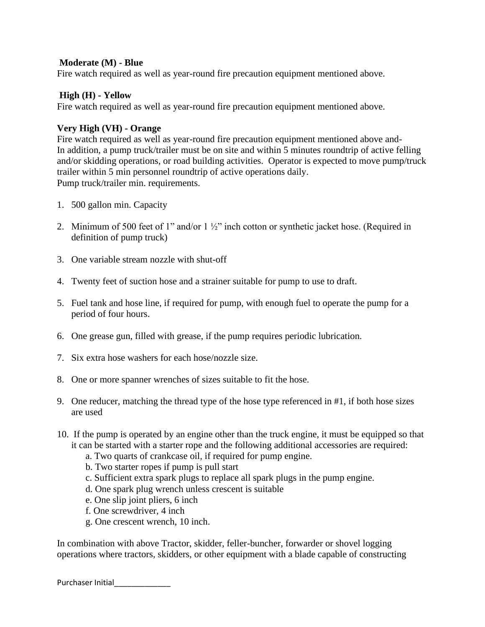#### **Moderate (M) - Blue**

Fire watch required as well as year-round fire precaution equipment mentioned above.

#### **High (H) - Yellow**

Fire watch required as well as year-round fire precaution equipment mentioned above.

#### **Very High (VH) - Orange**

Fire watch required as well as year-round fire precaution equipment mentioned above and-In addition, a pump truck/trailer must be on site and within 5 minutes roundtrip of active felling and/or skidding operations, or road building activities. Operator is expected to move pump/truck trailer within 5 min personnel roundtrip of active operations daily. Pump truck/trailer min. requirements.

- 1. 500 gallon min. Capacity
- 2. Minimum of 500 feet of 1" and/or 1 ½" inch cotton or synthetic jacket hose. (Required in definition of pump truck)
- 3. One variable stream nozzle with shut-off
- 4. Twenty feet of suction hose and a strainer suitable for pump to use to draft.
- 5. Fuel tank and hose line, if required for pump, with enough fuel to operate the pump for a period of four hours.
- 6. One grease gun, filled with grease, if the pump requires periodic lubrication.
- 7. Six extra hose washers for each hose/nozzle size.
- 8. One or more spanner wrenches of sizes suitable to fit the hose.
- 9. One reducer, matching the thread type of the hose type referenced in #1, if both hose sizes are used
- 10. If the pump is operated by an engine other than the truck engine, it must be equipped so that it can be started with a starter rope and the following additional accessories are required:
	- a. Two quarts of crankcase oil, if required for pump engine.
	- b. Two starter ropes if pump is pull start
	- c. Sufficient extra spark plugs to replace all spark plugs in the pump engine.
	- d. One spark plug wrench unless crescent is suitable
	- e. One slip joint pliers, 6 inch
	- f. One screwdriver, 4 inch
	- g. One crescent wrench, 10 inch.

In combination with above Tractor, skidder, feller-buncher, forwarder or shovel logging operations where tractors, skidders, or other equipment with a blade capable of constructing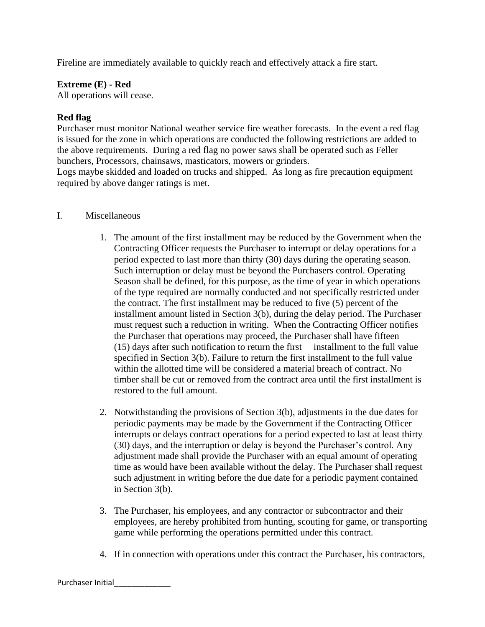Fireline are immediately available to quickly reach and effectively attack a fire start.

### **Extreme (E) - Red**

All operations will cease.

## **Red flag**

Purchaser must monitor National weather service fire weather forecasts. In the event a red flag is issued for the zone in which operations are conducted the following restrictions are added to the above requirements. During a red flag no power saws shall be operated such as Feller bunchers, Processors, chainsaws, masticators, mowers or grinders. Logs maybe skidded and loaded on trucks and shipped. As long as fire precaution equipment

required by above danger ratings is met.

### I. Miscellaneous

- 1. The amount of the first installment may be reduced by the Government when the Contracting Officer requests the Purchaser to interrupt or delay operations for a period expected to last more than thirty (30) days during the operating season. Such interruption or delay must be beyond the Purchasers control. Operating Season shall be defined, for this purpose, as the time of year in which operations of the type required are normally conducted and not specifically restricted under the contract. The first installment may be reduced to five (5) percent of the installment amount listed in Section 3(b), during the delay period. The Purchaser must request such a reduction in writing. When the Contracting Officer notifies the Purchaser that operations may proceed, the Purchaser shall have fifteen (15) days after such notification to return the first installment to the full value specified in Section 3(b). Failure to return the first installment to the full value within the allotted time will be considered a material breach of contract. No timber shall be cut or removed from the contract area until the first installment is restored to the full amount.
- 2. Notwithstanding the provisions of Section 3(b), adjustments in the due dates for periodic payments may be made by the Government if the Contracting Officer interrupts or delays contract operations for a period expected to last at least thirty (30) days, and the interruption or delay is beyond the Purchaser's control. Any adjustment made shall provide the Purchaser with an equal amount of operating time as would have been available without the delay. The Purchaser shall request such adjustment in writing before the due date for a periodic payment contained in Section 3(b).
- 3. The Purchaser, his employees, and any contractor or subcontractor and their employees, are hereby prohibited from hunting, scouting for game, or transporting game while performing the operations permitted under this contract.
- 4. If in connection with operations under this contract the Purchaser, his contractors,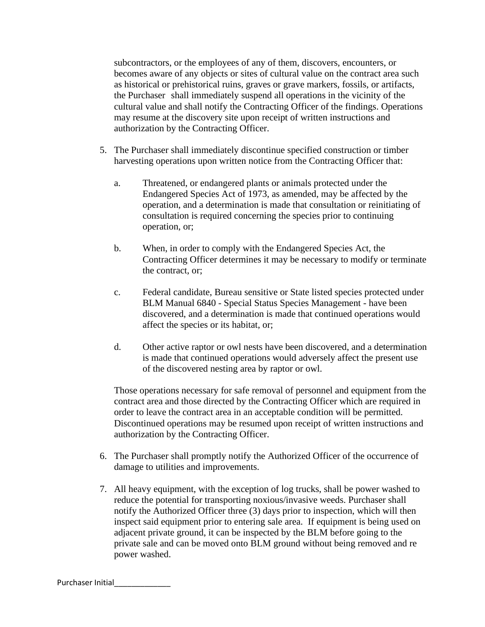subcontractors, or the employees of any of them, discovers, encounters, or becomes aware of any objects or sites of cultural value on the contract area such as historical or prehistorical ruins, graves or grave markers, fossils, or artifacts, the Purchaser shall immediately suspend all operations in the vicinity of the cultural value and shall notify the Contracting Officer of the findings. Operations may resume at the discovery site upon receipt of written instructions and authorization by the Contracting Officer.

- 5. The Purchaser shall immediately discontinue specified construction or timber harvesting operations upon written notice from the Contracting Officer that:
	- a. Threatened, or endangered plants or animals protected under the Endangered Species Act of 1973, as amended, may be affected by the operation, and a determination is made that consultation or reinitiating of consultation is required concerning the species prior to continuing operation, or;
	- b. When, in order to comply with the Endangered Species Act, the Contracting Officer determines it may be necessary to modify or terminate the contract, or;
	- c. Federal candidate, Bureau sensitive or State listed species protected under BLM Manual 6840 - Special Status Species Management - have been discovered, and a determination is made that continued operations would affect the species or its habitat, or;
	- d. Other active raptor or owl nests have been discovered, and a determination is made that continued operations would adversely affect the present use of the discovered nesting area by raptor or owl.

Those operations necessary for safe removal of personnel and equipment from the contract area and those directed by the Contracting Officer which are required in order to leave the contract area in an acceptable condition will be permitted. Discontinued operations may be resumed upon receipt of written instructions and authorization by the Contracting Officer.

- 6. The Purchaser shall promptly notify the Authorized Officer of the occurrence of damage to utilities and improvements.
- 7. All heavy equipment, with the exception of log trucks, shall be power washed to reduce the potential for transporting noxious/invasive weeds. Purchaser shall notify the Authorized Officer three (3) days prior to inspection, which will then inspect said equipment prior to entering sale area. If equipment is being used on adjacent private ground, it can be inspected by the BLM before going to the private sale and can be moved onto BLM ground without being removed and re power washed.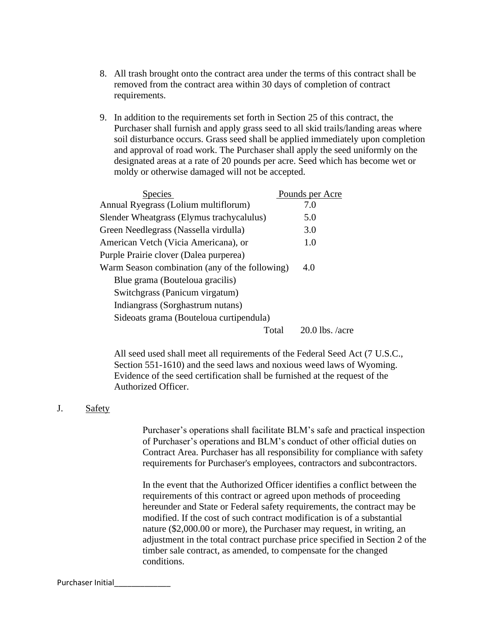- 8. All trash brought onto the contract area under the terms of this contract shall be removed from the contract area within 30 days of completion of contract requirements.
- 9. In addition to the requirements set forth in Section 25 of this contract, the Purchaser shall furnish and apply grass seed to all skid trails/landing areas where soil disturbance occurs. Grass seed shall be applied immediately upon completion and approval of road work. The Purchaser shall apply the seed uniformly on the designated areas at a rate of 20 pounds per acre. Seed which has become wet or moldy or otherwise damaged will not be accepted.

| <b>Species</b>                                 | Pounds per Acre   |
|------------------------------------------------|-------------------|
| Annual Ryegrass (Lolium multiflorum)           | 7.0               |
| Slender Wheatgrass (Elymus trachycalulus)      | 5.0               |
| Green Needlegrass (Nassella virdulla)          | 3.0               |
| American Vetch (Vicia Americana), or           | 1.0               |
| Purple Prairie clover (Dalea purperea)         |                   |
| Warm Season combination (any of the following) | 4.0               |
| Blue grama (Bouteloua gracilis)                |                   |
| Switchgrass (Panicum virgatum)                 |                   |
| Indiangrass (Sorghastrum nutans)               |                   |
| Sideoats grama (Bouteloua curtipendula)        |                   |
| Total                                          | $20.0$ lbs. /acre |

All seed used shall meet all requirements of the Federal Seed Act (7 U.S.C., Section 551-1610) and the seed laws and noxious weed laws of Wyoming. Evidence of the seed certification shall be furnished at the request of the Authorized Officer.

#### J. Safety

Purchaser's operations shall facilitate BLM's safe and practical inspection of Purchaser's operations and BLM's conduct of other official duties on Contract Area. Purchaser has all responsibility for compliance with safety requirements for Purchaser's employees, contractors and subcontractors.

In the event that the Authorized Officer identifies a conflict between the requirements of this contract or agreed upon methods of proceeding hereunder and State or Federal safety requirements, the contract may be modified. If the cost of such contract modification is of a substantial nature (\$2,000.00 or more), the Purchaser may request, in writing, an adjustment in the total contract purchase price specified in Section 2 of the timber sale contract, as amended, to compensate for the changed conditions.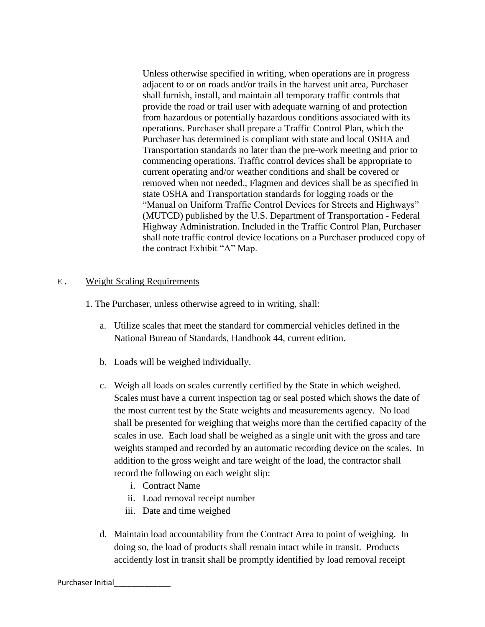Unless otherwise specified in writing, when operations are in progress adjacent to or on roads and/or trails in the harvest unit area, Purchaser shall furnish, install, and maintain all temporary traffic controls that provide the road or trail user with adequate warning of and protection from hazardous or potentially hazardous conditions associated with its operations. Purchaser shall prepare a Traffic Control Plan, which the Purchaser has determined is compliant with state and local OSHA and Transportation standards no later than the pre-work meeting and prior to commencing operations. Traffic control devices shall be appropriate to current operating and/or weather conditions and shall be covered or removed when not needed., Flagmen and devices shall be as specified in state OSHA and Transportation standards for logging roads or the "Manual on Uniform Traffic Control Devices for Streets and Highways" (MUTCD) published by the U.S. Department of Transportation - Federal Highway Administration. Included in the Traffic Control Plan, Purchaser shall note traffic control device locations on a Purchaser produced copy of the contract Exhibit "A" Map.

## K. Weight Scaling Requirements

1. The Purchaser, unless otherwise agreed to in writing, shall:

- a. Utilize scales that meet the standard for commercial vehicles defined in the National Bureau of Standards, Handbook 44, current edition.
- b. Loads will be weighed individually.
- c. Weigh all loads on scales currently certified by the State in which weighed. Scales must have a current inspection tag or seal posted which shows the date of the most current test by the State weights and measurements agency. No load shall be presented for weighing that weighs more than the certified capacity of the scales in use. Each load shall be weighed as a single unit with the gross and tare weights stamped and recorded by an automatic recording device on the scales. In addition to the gross weight and tare weight of the load, the contractor shall record the following on each weight slip:
	- i. Contract Name
	- ii. Load removal receipt number
	- iii. Date and time weighed
- d. Maintain load accountability from the Contract Area to point of weighing. In doing so, the load of products shall remain intact while in transit. Products accidently lost in transit shall be promptly identified by load removal receipt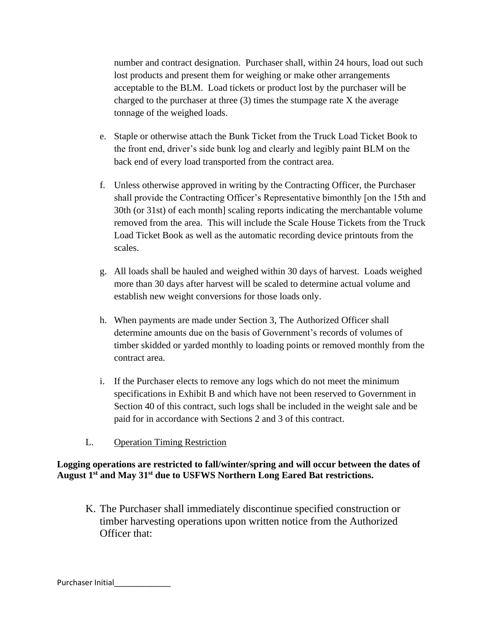number and contract designation. Purchaser shall, within 24 hours, load out such lost products and present them for weighing or make other arrangements acceptable to the BLM. Load tickets or product lost by the purchaser will be charged to the purchaser at three  $(3)$  times the stumpage rate X the average tonnage of the weighed loads.

- e. Staple or otherwise attach the Bunk Ticket from the Truck Load Ticket Book to the front end, driver's side bunk log and clearly and legibly paint BLM on the back end of every load transported from the contract area.
- f. Unless otherwise approved in writing by the Contracting Officer, the Purchaser shall provide the Contracting Officer's Representative bimonthly [on the 15th and 30th (or 31st) of each month] scaling reports indicating the merchantable volume removed from the area. This will include the Scale House Tickets from the Truck Load Ticket Book as well as the automatic recording device printouts from the scales.
- g. All loads shall be hauled and weighed within 30 days of harvest. Loads weighed more than 30 days after harvest will be scaled to determine actual volume and establish new weight conversions for those loads only.
- h. When payments are made under Section 3, The Authorized Officer shall determine amounts due on the basis of Government's records of volumes of timber skidded or yarded monthly to loading points or removed monthly from the contract area.
- i. If the Purchaser elects to remove any logs which do not meet the minimum specifications in Exhibit B and which have not been reserved to Government in Section 40 of this contract, such logs shall be included in the weight sale and be paid for in accordance with Sections 2 and 3 of this contract.
- L. Operation Timing Restriction

# **Logging operations are restricted to fall/winter/spring and will occur between the dates of August 1 st and May 31 st due to USFWS Northern Long Eared Bat restrictions.**

K. The Purchaser shall immediately discontinue specified construction or timber harvesting operations upon written notice from the Authorized Officer that: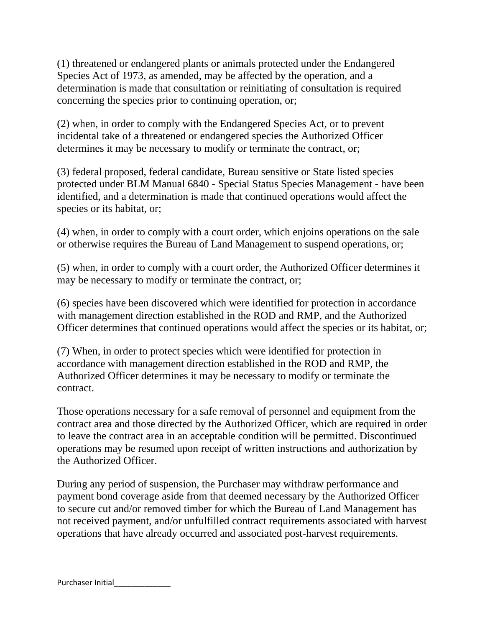(1) threatened or endangered plants or animals protected under the Endangered Species Act of 1973, as amended, may be affected by the operation, and a determination is made that consultation or reinitiating of consultation is required concerning the species prior to continuing operation, or;

(2) when, in order to comply with the Endangered Species Act, or to prevent incidental take of a threatened or endangered species the Authorized Officer determines it may be necessary to modify or terminate the contract, or;

(3) federal proposed, federal candidate, Bureau sensitive or State listed species protected under BLM Manual 6840 - Special Status Species Management - have been identified, and a determination is made that continued operations would affect the species or its habitat, or;

(4) when, in order to comply with a court order, which enjoins operations on the sale or otherwise requires the Bureau of Land Management to suspend operations, or;

(5) when, in order to comply with a court order, the Authorized Officer determines it may be necessary to modify or terminate the contract, or;

(6) species have been discovered which were identified for protection in accordance with management direction established in the ROD and RMP, and the Authorized Officer determines that continued operations would affect the species or its habitat, or;

(7) When, in order to protect species which were identified for protection in accordance with management direction established in the ROD and RMP, the Authorized Officer determines it may be necessary to modify or terminate the contract.

Those operations necessary for a safe removal of personnel and equipment from the contract area and those directed by the Authorized Officer, which are required in order to leave the contract area in an acceptable condition will be permitted. Discontinued operations may be resumed upon receipt of written instructions and authorization by the Authorized Officer.

During any period of suspension, the Purchaser may withdraw performance and payment bond coverage aside from that deemed necessary by the Authorized Officer to secure cut and/or removed timber for which the Bureau of Land Management has not received payment, and/or unfulfilled contract requirements associated with harvest operations that have already occurred and associated post-harvest requirements.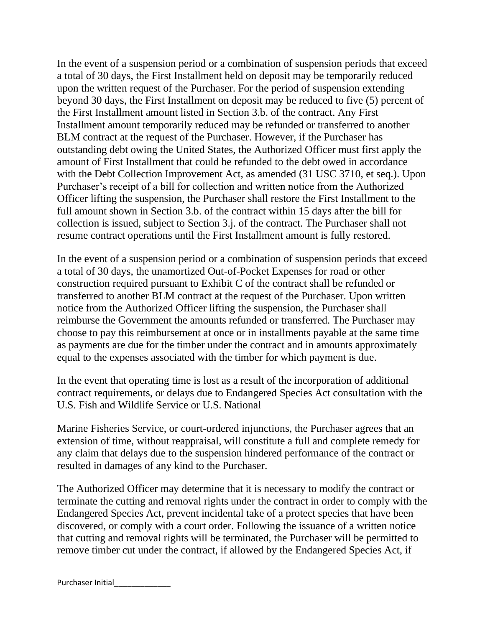In the event of a suspension period or a combination of suspension periods that exceed a total of 30 days, the First Installment held on deposit may be temporarily reduced upon the written request of the Purchaser. For the period of suspension extending beyond 30 days, the First Installment on deposit may be reduced to five (5) percent of the First Installment amount listed in Section 3.b. of the contract. Any First Installment amount temporarily reduced may be refunded or transferred to another BLM contract at the request of the Purchaser. However, if the Purchaser has outstanding debt owing the United States, the Authorized Officer must first apply the amount of First Installment that could be refunded to the debt owed in accordance with the Debt Collection Improvement Act, as amended (31 USC 3710, et seq.). Upon Purchaser's receipt of a bill for collection and written notice from the Authorized Officer lifting the suspension, the Purchaser shall restore the First Installment to the full amount shown in Section 3.b. of the contract within 15 days after the bill for collection is issued, subject to Section 3.j. of the contract. The Purchaser shall not resume contract operations until the First Installment amount is fully restored.

In the event of a suspension period or a combination of suspension periods that exceed a total of 30 days, the unamortized Out-of-Pocket Expenses for road or other construction required pursuant to Exhibit C of the contract shall be refunded or transferred to another BLM contract at the request of the Purchaser. Upon written notice from the Authorized Officer lifting the suspension, the Purchaser shall reimburse the Government the amounts refunded or transferred. The Purchaser may choose to pay this reimbursement at once or in installments payable at the same time as payments are due for the timber under the contract and in amounts approximately equal to the expenses associated with the timber for which payment is due.

In the event that operating time is lost as a result of the incorporation of additional contract requirements, or delays due to Endangered Species Act consultation with the U.S. Fish and Wildlife Service or U.S. National

Marine Fisheries Service, or court-ordered injunctions, the Purchaser agrees that an extension of time, without reappraisal, will constitute a full and complete remedy for any claim that delays due to the suspension hindered performance of the contract or resulted in damages of any kind to the Purchaser.

The Authorized Officer may determine that it is necessary to modify the contract or terminate the cutting and removal rights under the contract in order to comply with the Endangered Species Act, prevent incidental take of a protect species that have been discovered, or comply with a court order. Following the issuance of a written notice that cutting and removal rights will be terminated, the Purchaser will be permitted to remove timber cut under the contract, if allowed by the Endangered Species Act, if